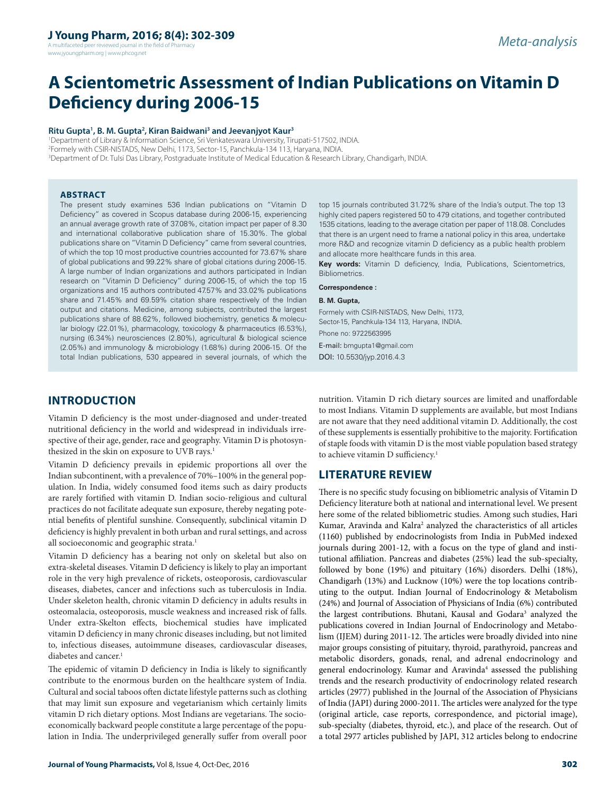A multifaceted peer reviewed journal in the field of Pharmacy www.jyoungpharm.org | www.phcog.net

# **A Scientometric Assessment of Indian Publications on Vitamin D Deficiency during 2006-15**

#### Ritu Gupta<sup>1</sup>, B. M. Gupta<sup>2</sup>, Kiran Baidwani<sup>3</sup> and Jeevanjyot Kaur<sup>3</sup>

1 Department of Library & Information Science, Sri Venkateswara University, Tirupati-517502, INDIA. 2 Formely with CSIR-NISTADS, New Delhi, 1173, Sector-15, Panchkula-134 113, Haryana, INDIA. 3 Department of Dr. Tulsi Das Library, Postgraduate Institute of Medical Education & Research Library, Chandigarh, INDIA.

#### **ABSTRACT**

The present study examines 536 Indian publications on "Vitamin D Deficiency" as covered in Scopus database during 2006-15, experiencing an annual average growth rate of 37.08%, citation impact per paper of 8.30 and international collaborative publication share of 15.30%. The global publications share on "Vitamin D Deficiency" came from several countries, of which the top 10 most productive countries accounted for 73.67% share of global publications and 99.22% share of global citations during 2006-15. A large number of Indian organizations and authors participated in Indian research on "Vitamin D Deficiency" during 2006-15, of which the top 15 organizations and 15 authors contributed 47.57% and 33.02% publications share and 71.45% and 69.59% citation share respectively of the Indian output and citations. Medicine, among subjects, contributed the largest publications share of 88.62%, followed biochemistry, genetics & molecular biology (22.01%), pharmacology, toxicology & pharmaceutics (6.53%), nursing (6.34%) neurosciences (2.80%), agricultural & biological science (2.05%) and immunology & microbiology (1.68%) during 2006-15. Of the total Indian publications, 530 appeared in several journals, of which the

top 15 journals contributed 31.72% share of the India's output. The top 13 highly cited papers registered 50 to 479 citations, and together contributed 1535 citations, leading to the average citation per paper of 118.08. Concludes that there is an urgent need to frame a national policy in this area, undertake more R&D and recognize vitamin D deficiency as a public health problem and allocate more healthcare funds in this area.

**Key words:** Vitamin D deficiency, India, Publications, Scientometrics, Bibliometrics.

#### **Correspondence :**

#### **B. M. Gupta,**

Formely with CSIR-NISTADS, New Delhi, 1173, Sector-15, Panchkula-134 113, Haryana, INDIA. Phone no: 9722563995 E-mail: bmgupta1@gmail.com DOI: 10.5530/jyp.2016.4.3

## **INTRODUCTION**

Vitamin D deficiency is the most under-diagnosed and under-treated nutritional deficiency in the world and widespread in individuals irrespective of their age, gender, race and geography. Vitamin D is photosynthesized in the skin on exposure to UVB rays.<sup>1</sup>

Vitamin D deficiency prevails in epidemic proportions all over the Indian subcontinent, with a prevalence of 70%–100% in the general population. In India, widely consumed food items such as dairy products are rarely fortified with vitamin D. Indian socio-religious and cultural practices do not facilitate adequate sun exposure, thereby negating potential benefits of plentiful sunshine. Consequently, subclinical vitamin D deficiency is highly prevalent in both urban and rural settings, and across all socioeconomic and geographic strata.<sup>1</sup>

Vitamin D deficiency has a bearing not only on skeletal but also on extra-skeletal diseases. Vitamin D deficiency is likely to play an important role in the very high prevalence of rickets, osteoporosis, cardiovascular diseases, diabetes, cancer and infections such as tuberculosis in India. Under skeleton health, chronic vitamin D deficiency in adults results in osteomalacia, osteoporosis, muscle weakness and increased risk of falls. Under extra-Skelton effects, biochemical studies have implicated vitamin D deficiency in many chronic diseases including, but not limited to, infectious diseases, autoimmune diseases, cardiovascular diseases, diabetes and cancer.<sup>1</sup>

The epidemic of vitamin D deficiency in India is likely to significantly contribute to the enormous burden on the healthcare system of India. Cultural and social taboos often dictate lifestyle patterns such as clothing that may limit sun exposure and vegetarianism which certainly limits vitamin D rich dietary options. Most Indians are vegetarians. The socioeconomically backward people constitute a large percentage of the population in India. The underprivileged generally suffer from overall poor

are not aware that they need additional vitamin D. Additionally, the cost of these supplements is essentially prohibitive to the majority. Fortification of staple foods with vitamin D is the most viable population based strategy to achieve vitamin D sufficiency.<sup>1</sup> **LITERATURE REVIEW**

nutrition. Vitamin D rich dietary sources are limited and unaffordable to most Indians. Vitamin D supplements are available, but most Indians

There is no specific study focusing on bibliometric analysis of Vitamin D Deficiency literature both at national and international level. We present here some of the related bibliometric studies. Among such studies, Hari Kumar, Aravinda and Kalra<sup>2</sup> analyzed the characteristics of all articles (1160) published by endocrinologists from India in PubMed indexed journals during 2001-12, with a focus on the type of gland and institutional affiliation. Pancreas and diabetes (25%) lead the sub-specialty, followed by bone (19%) and pituitary (16%) disorders. Delhi (18%), Chandigarh (13%) and Lucknow (10%) were the top locations contributing to the output. Indian Journal of Endocrinology & Metabolism (24%) and Journal of Association of Physicians of India (6%) contributed the largest contributions. Bhutani, Kausal and Godara<sup>3</sup> analyzed the publications covered in Indian Journal of Endocrinology and Metabolism (IJEM) during 2011-12. The articles were broadly divided into nine major groups consisting of pituitary, thyroid, parathyroid, pancreas and metabolic disorders, gonads, renal, and adrenal endocrinology and general endocrinology. Kumar and Aravinda<sup>4</sup> assessed the publishing trends and the research productivity of endocrinology related research articles (2977) published in the Journal of the Association of Physicians of India (JAPI) during 2000-2011. The articles were analyzed for the type (original article, case reports, correspondence, and pictorial image), sub-specialty (diabetes, thyroid, etc.), and place of the research. Out of a total 2977 articles published by JAPI, 312 articles belong to endocrine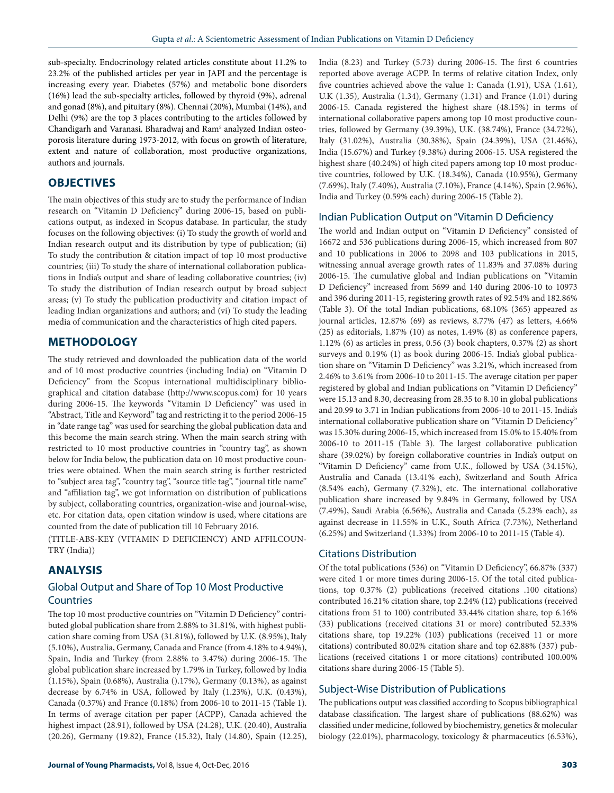sub-specialty. Endocrinology related articles constitute about 11.2% to 23.2% of the published articles per year in JAPI and the percentage is increasing every year. Diabetes (57%) and metabolic bone disorders (16%) lead the sub-specialty articles, followed by thyroid (9%), adrenal and gonad (8%), and pituitary (8%). Chennai (20%), Mumbai (14%), and Delhi (9%) are the top 3 places contributing to the articles followed by Chandigarh and Varanasi. Bharadwaj and Ram<sup>5</sup> analyzed Indian osteoporosis literature during 1973-2012, with focus on growth of literature, extent and nature of collaboration, most productive organizations, authors and journals.

# **OBJECTIVES**

The main objectives of this study are to study the performance of Indian research on "Vitamin D Deficiency" during 2006-15, based on publications output, as indexed in Scopus database. In particular, the study focuses on the following objectives: (i) To study the growth of world and Indian research output and its distribution by type of publication; (ii) To study the contribution & citation impact of top 10 most productive countries; (iii) To study the share of international collaboration publications in India's output and share of leading collaborative countries; (iv) To study the distribution of Indian research output by broad subject areas; (v) To study the publication productivity and citation impact of leading Indian organizations and authors; and (vi) To study the leading media of communication and the characteristics of high cited papers.

## **METHODOLOGY**

The study retrieved and downloaded the publication data of the world and of 10 most productive countries (including India) on "Vitamin D Deficiency" from the Scopus international multidisciplinary bibliographical and citation database (http://www.scopus.com) for 10 years during 2006-15. The keywords "Vitamin D Deficiency" was used in "Abstract, Title and Keyword" tag and restricting it to the period 2006-15 in "date range tag" was used for searching the global publication data and this become the main search string. When the main search string with restricted to 10 most productive countries in "country tag", as shown below for India below, the publication data on 10 most productive countries were obtained. When the main search string is further restricted to "subject area tag", "country tag", "source title tag", "journal title name" and "affiliation tag", we got information on distribution of publications by subject, collaborating countries, organization-wise and journal-wise, etc. For citation data, open citation window is used, where citations are counted from the date of publication till 10 February 2016.

(TITLE-ABS-KEY (VITAMIN D DEFICIENCY) AND AFFILCOUN-TRY (India))

## **ANALYSIS**

## Global Output and Share of Top 10 Most Productive Countries

The top 10 most productive countries on "Vitamin D Deficiency" contributed global publication share from 2.88% to 31.81%, with highest publication share coming from USA (31.81%), followed by U.K. (8.95%), Italy (5.10%), Australia, Germany, Canada and France (from 4.18% to 4.94%), Spain, India and Turkey (from 2.88% to 3.47%) during 2006-15. The global publication share increased by 1.79% in Turkey, followed by India (1.15%), Spain (0.68%), Australia ().17%), Germany (0.13%), as against decrease by 6.74% in USA, followed by Italy (1.23%), U.K. (0.43%), Canada (0.37%) and France (0.18%) from 2006-10 to 2011-15 (Table 1). In terms of average citation per paper (ACPP), Canada achieved the highest impact (28.91), followed by USA (24.28), U.K. (20.40), Australia (20.26), Germany (19.82), France (15.32), Italy (14.80), Spain (12.25),

India (8.23) and Turkey (5.73) during 2006-15. The first 6 countries reported above average ACPP. In terms of relative citation Index, only five countries achieved above the value 1: Canada (1.91), USA (1.61), U.K (1.35), Australia (1.34), Germany (1.31) and France (1.01) during 2006-15. Canada registered the highest share (48.15%) in terms of international collaborative papers among top 10 most productive countries, followed by Germany (39.39%), U.K. (38.74%), France (34.72%), Italy (31.02%), Australia (30.38%), Spain (24.39%), USA (21.46%), India (15.67%) and Turkey (9.38%) during 2006-15. USA registered the highest share (40.24%) of high cited papers among top 10 most productive countries, followed by U.K. (18.34%), Canada (10.95%), Germany (7.69%), Italy (7.40%), Australia (7.10%), France (4.14%), Spain (2.96%), India and Turkey (0.59% each) during 2006-15 (Table 2).

#### Indian Publication Output on "Vitamin D Deficiency

The world and Indian output on "Vitamin D Deficiency" consisted of 16672 and 536 publications during 2006-15, which increased from 807 and 10 publications in 2006 to 2098 and 103 publications in 2015, witnessing annual average growth rates of 11.83% and 37.08% during 2006-15. The cumulative global and Indian publications on "Vitamin D Deficiency" increased from 5699 and 140 during 2006-10 to 10973 and 396 during 2011-15, registering growth rates of 92.54% and 182.86% (Table 3). Of the total Indian publications, 68.10% (365) appeared as journal articles, 12.87% (69) as reviews, 8.77% (47) as letters, 4.66% (25) as editorials, 1.87% (10) as notes, 1.49% (8) as conference papers, 1.12% (6) as articles in press, 0.56 (3) book chapters, 0.37% (2) as short surveys and 0.19% (1) as book during 2006-15. India's global publication share on "Vitamin D Deficiency" was 3.21%, which increased from 2.46% to 3.61% from 2006-10 to 2011-15. The average citation per paper registered by global and Indian publications on "Vitamin D Deficiency" were 15.13 and 8.30, decreasing from 28.35 to 8.10 in global publications and 20.99 to 3.71 in Indian publications from 2006-10 to 2011-15. India's international collaborative publication share on "Vitamin D Deficiency" was 15.30% during 2006-15, which increased from 15.0% to 15.40% from 2006-10 to 2011-15 (Table 3). The largest collaborative publication share (39.02%) by foreign collaborative countries in India's output on "Vitamin D Deficiency" came from U.K., followed by USA (34.15%), Australia and Canada (13.41% each), Switzerland and South Africa (8.54% each), Germany (7.32%), etc. The international collaborative publication share increased by 9.84% in Germany, followed by USA (7.49%), Saudi Arabia (6.56%), Australia and Canada (5.23% each), as against decrease in 11.55% in U.K., South Africa (7.73%), Netherland (6.25%) and Switzerland (1.33%) from 2006-10 to 2011-15 (Table 4).

### Citations Distribution

Of the total publications (536) on "Vitamin D Deficiency", 66.87% (337) were cited 1 or more times during 2006-15. Of the total cited publications, top 0.37% (2) publications (received citations .100 citations) contributed 16.21% citation share, top 2.24% (12) publications (received citations from 51 to 100) contributed 33.44% citation share, top 6.16% (33) publications (received citations 31 or more) contributed 52.33% citations share, top 19.22% (103) publications (received 11 or more citations) contributed 80.02% citation share and top 62.88% (337) publications (received citations 1 or more citations) contributed 100.00% citations share during 2006-15 (Table 5).

#### Subject-Wise Distribution of Publications

The publications output was classified according to Scopus bibliographical database classification. The largest share of publications (88.62%) was classified under medicine, followed by biochemistry, genetics & molecular biology (22.01%), pharmacology, toxicology & pharmaceutics (6.53%),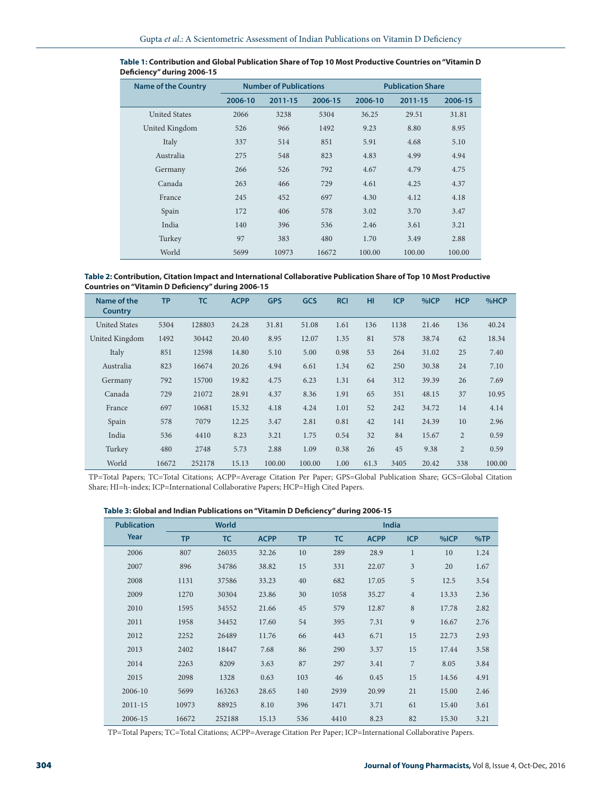| <b>Name of the Country</b> |         | <b>Number of Publications</b> |         | <b>Publication Share</b> |         |         |  |
|----------------------------|---------|-------------------------------|---------|--------------------------|---------|---------|--|
|                            | 2006-10 | 2011-15                       | 2006-15 | 2006-10                  | 2011-15 | 2006-15 |  |
| <b>United States</b>       | 2066    | 3238                          | 5304    | 36.25                    | 29.51   | 31.81   |  |
| United Kingdom             | 526     | 966                           | 1492    | 9.23                     | 8.80    | 8.95    |  |
| Italy                      | 337     | 514                           | 851     | 5.91                     | 4.68    | 5.10    |  |
| Australia                  | 275     | 548                           | 823     | 4.83                     | 4.99    | 4.94    |  |
| Germany                    | 266     | 526                           | 792     | 4.67                     | 4.79    | 4.75    |  |
| Canada                     | 263     | 466                           | 729     | 4.61                     | 4.25    | 4.37    |  |
| France                     | 245     | 452                           | 697     | 4.30                     | 4.12    | 4.18    |  |
| Spain                      | 172     | 406                           | 578     | 3.02                     | 3.70    | 3.47    |  |
| India                      | 140     | 396                           | 536     | 2.46                     | 3.61    | 3.21    |  |
| Turkey                     | 97      | 383                           | 480     | 1.70                     | 3.49    | 2.88    |  |
| World                      | 5699    | 10973                         | 16672   | 100.00                   | 100.00  | 100.00  |  |

| Table 1: Contribution and Global Publication Share of Top 10 Most Productive Countries on "Vitamin D |  |
|------------------------------------------------------------------------------------------------------|--|
| Deficiency" during 2006-15                                                                           |  |

**Table 2: Contribution, Citation Impact and International Collaborative Publication Share of Top 10 Most Productive Countries on "Vitamin D Deficiency" during 2006-15**

| Name of the<br>Country | <b>TP</b> | <b>TC</b> | <b>ACPP</b> | <b>GPS</b> | <b>GCS</b> | <b>RCI</b> | HI   | <b>ICP</b> | %ICP  | <b>HCP</b>     | %HCP   |
|------------------------|-----------|-----------|-------------|------------|------------|------------|------|------------|-------|----------------|--------|
| <b>United States</b>   | 5304      | 128803    | 24.28       | 31.81      | 51.08      | 1.61       | 136  | 1138       | 21.46 | 136            | 40.24  |
| United Kingdom         | 1492      | 30442     | 20.40       | 8.95       | 12.07      | 1.35       | 81   | 578        | 38.74 | 62             | 18.34  |
| Italy                  | 851       | 12598     | 14.80       | 5.10       | 5.00       | 0.98       | 53   | 264        | 31.02 | 25             | 7.40   |
| Australia              | 823       | 16674     | 20.26       | 4.94       | 6.61       | 1.34       | 62   | 250        | 30.38 | 24             | 7.10   |
| Germany                | 792       | 15700     | 19.82       | 4.75       | 6.23       | 1.31       | 64   | 312        | 39.39 | 26             | 7.69   |
| Canada                 | 729       | 21072     | 28.91       | 4.37       | 8.36       | 1.91       | 65   | 351        | 48.15 | 37             | 10.95  |
| France                 | 697       | 10681     | 15.32       | 4.18       | 4.24       | 1.01       | 52   | 242        | 34.72 | 14             | 4.14   |
| Spain                  | 578       | 7079      | 12.25       | 3.47       | 2.81       | 0.81       | 42   | 141        | 24.39 | 10             | 2.96   |
| India                  | 536       | 4410      | 8.23        | 3.21       | 1.75       | 0.54       | 32   | 84         | 15.67 | $\overline{2}$ | 0.59   |
| Turkey                 | 480       | 2748      | 5.73        | 2.88       | 1.09       | 0.38       | 26   | 45         | 9.38  | $\overline{2}$ | 0.59   |
| World                  | 16672     | 252178    | 15.13       | 100.00     | 100.00     | 1.00       | 61.3 | 3405       | 20.42 | 338            | 100.00 |

TP=Total Papers; TC=Total Citations; ACPP=Average Citation Per Paper; GPS=Global Publication Share; GCS=Global Citation Share; HI=h-index; ICP=International Collaborative Papers; HCP=High Cited Papers.

| Table 3: Global and Indian Publications on "Vitamin D Deficiency" during 2006-15 |  |  |
|----------------------------------------------------------------------------------|--|--|
|----------------------------------------------------------------------------------|--|--|

| <b>Publication</b> |           | <b>World</b> |             |           | India     |             |                |       |      |  |
|--------------------|-----------|--------------|-------------|-----------|-----------|-------------|----------------|-------|------|--|
| Year               | <b>TP</b> | <b>TC</b>    | <b>ACPP</b> | <b>TP</b> | <b>TC</b> | <b>ACPP</b> | <b>ICP</b>     | %ICP  | %TP  |  |
| 2006               | 807       | 26035        | 32.26       | 10        | 289       | 28.9        | $\mathbf{1}$   | 10    | 1.24 |  |
| 2007               | 896       | 34786        | 38.82       | 15        | 331       | 22.07       | $\mathfrak{Z}$ | 20    | 1.67 |  |
| 2008               | 1131      | 37586        | 33.23       | 40        | 682       | 17.05       | 5              | 12.5  | 3.54 |  |
| 2009               | 1270      | 30304        | 23.86       | 30        | 1058      | 35.27       | $\overline{4}$ | 13.33 | 2.36 |  |
| 2010               | 1595      | 34552        | 21.66       | 45        | 579       | 12.87       | 8              | 17.78 | 2.82 |  |
| 2011               | 1958      | 34452        | 17.60       | 54        | 395       | 7.31        | 9              | 16.67 | 2.76 |  |
| 2012               | 2252      | 26489        | 11.76       | 66        | 443       | 6.71        | 15             | 22.73 | 2.93 |  |
| 2013               | 2402      | 18447        | 7.68        | 86        | 290       | 3.37        | 15             | 17.44 | 3.58 |  |
| 2014               | 2263      | 8209         | 3.63        | 87        | 297       | 3.41        | $\overline{7}$ | 8.05  | 3.84 |  |
| 2015               | 2098      | 1328         | 0.63        | 103       | 46        | 0.45        | 15             | 14.56 | 4.91 |  |
| 2006-10            | 5699      | 163263       | 28.65       | 140       | 2939      | 20.99       | 21             | 15.00 | 2.46 |  |
| $2011 - 15$        | 10973     | 88925        | 8.10        | 396       | 1471      | 3.71        | 61             | 15.40 | 3.61 |  |
| 2006-15            | 16672     | 252188       | 15.13       | 536       | 4410      | 8.23        | 82             | 15.30 | 3.21 |  |

TP=Total Papers; TC=Total Citations; ACPP=Average Citation Per Paper; ICP=International Collaborative Papers.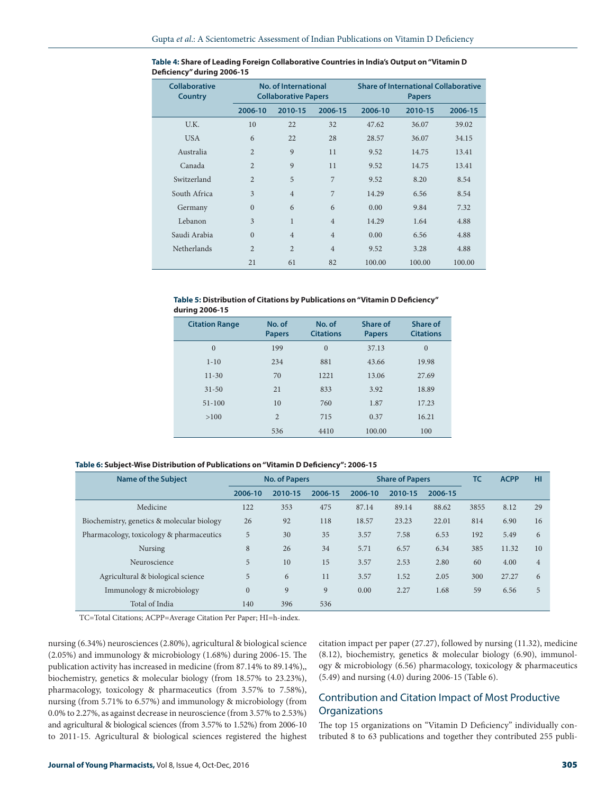| <b>Collaborative</b><br><b>Country</b> |                | No. of International<br><b>Collaborative Papers</b> |                | <b>Share of International Collaborative</b><br><b>Papers</b> |         |         |  |  |
|----------------------------------------|----------------|-----------------------------------------------------|----------------|--------------------------------------------------------------|---------|---------|--|--|
|                                        | 2006-10        | 2010-15                                             | 2006-15        | 2006-10                                                      | 2010-15 | 2006-15 |  |  |
| U.K.                                   | 10             | 22                                                  | 32             | 47.62                                                        | 36.07   | 39.02   |  |  |
| <b>USA</b>                             | 6              | 22                                                  | 28             | 28.57                                                        | 36.07   | 34.15   |  |  |
| Australia                              | $\overline{2}$ | 9                                                   | 11             | 9.52                                                         | 14.75   | 13.41   |  |  |
| Canada                                 | $\overline{2}$ | 9                                                   | 11             | 9.52                                                         | 14.75   | 13.41   |  |  |
| Switzerland                            | $\overline{2}$ | 5                                                   | $\overline{7}$ | 9.52                                                         | 8.20    | 8.54    |  |  |
| South Africa                           | 3              | $\overline{4}$                                      | 7              | 14.29                                                        | 6.56    | 8.54    |  |  |
| Germany                                | $\overline{0}$ | 6                                                   | 6              | 0.00                                                         | 9.84    | 7.32    |  |  |
| Lebanon                                | 3              | $\mathbf{1}$                                        | $\overline{4}$ | 14.29                                                        | 1.64    | 4.88    |  |  |
| Saudi Arabia                           | $\Omega$       | $\overline{4}$                                      | $\overline{4}$ | 0.00                                                         | 6.56    | 4.88    |  |  |
| Netherlands                            | $\overline{2}$ | $\overline{2}$                                      | $\overline{4}$ | 9.52                                                         | 3.28    | 4.88    |  |  |
|                                        | 21             | 61                                                  | 82             | 100.00                                                       | 100.00  | 100.00  |  |  |

| Table 4: Share of Leading Foreign Collaborative Countries in India's Output on "Vitamin D |  |
|-------------------------------------------------------------------------------------------|--|
| Deficiency" during 2006-15                                                                |  |

#### **Table 5: Distribution of Citations by Publications on "Vitamin D Deficiency" during 2006-15**

| <b>Citation Range</b> | No. of<br><b>Papers</b> | No. of<br><b>Citations</b> | Share of<br><b>Papers</b> | Share of<br><b>Citations</b> |
|-----------------------|-------------------------|----------------------------|---------------------------|------------------------------|
| $\mathbf{0}$          | 199                     | $\mathbf{0}$               | 37.13                     | $\overline{0}$               |
| $1 - 10$              | 234                     | 881                        | 43.66                     | 19.98                        |
| $11-30$               | 70                      | 1221                       | 13.06                     | 27.69                        |
| $31 - 50$             | 21                      | 833                        | 3.92                      | 18.89                        |
| $51 - 100$            | 10                      | 760                        | 1.87                      | 17.23                        |
| >100                  | $\overline{2}$          | 715                        | 0.37                      | 16.21                        |
|                       | 536                     | 4410                       | 100.00                    | 100                          |

#### **Table 6: Subject-Wise Distribution of Publications on "Vitamin D Deficiency": 2006-15**

| <b>Name of the Subject</b>                 | <b>No. of Papers</b> |         |         | <b>Share of Papers</b> | TC      | <b>ACPP</b> | HI   |       |                |
|--------------------------------------------|----------------------|---------|---------|------------------------|---------|-------------|------|-------|----------------|
|                                            | 2006-10              | 2010-15 | 2006-15 | 2006-10                | 2010-15 | 2006-15     |      |       |                |
| Medicine                                   | 122                  | 353     | 475     | 87.14                  | 89.14   | 88.62       | 3855 | 8.12  | 29             |
| Biochemistry, genetics & molecular biology | 26                   | 92      | 118     | 18.57                  | 23.23   | 22.01       | 814  | 6.90  | 16             |
| Pharmacology, toxicology & pharmaceutics   | 5                    | 30      | 35      | 3.57                   | 7.58    | 6.53        | 192  | 5.49  | 6              |
| Nursing                                    | 8                    | 26      | 34      | 5.71                   | 6.57    | 6.34        | 385  | 11.32 | 10             |
| Neuroscience                               | 5                    | 10      | 15      | 3.57                   | 2.53    | 2.80        | 60   | 4.00  | $\overline{4}$ |
| Agricultural & biological science          | 5                    | 6       | 11      | 3.57                   | 1.52    | 2.05        | 300  | 27.27 | 6              |
| Immunology & microbiology                  | $\mathbf{0}$         | 9       | 9       | 0.00                   | 2.27    | 1.68        | 59   | 6.56  | 5              |
| Total of India                             | 140                  | 396     | 536     |                        |         |             |      |       |                |

TC=Total Citations; ACPP=Average Citation Per Paper; HI=h-index.

nursing (6.34%) neurosciences (2.80%), agricultural & biological science (2.05%) and immunology & microbiology (1.68%) during 2006-15. The publication activity has increased in medicine (from 87.14% to 89.14%),, biochemistry, genetics & molecular biology (from 18.57% to 23.23%), pharmacology, toxicology & pharmaceutics (from 3.57% to 7.58%), nursing (from 5.71% to 6.57%) and immunology & microbiology (from 0.0% to 2.27%, as against decrease in neuroscience (from 3.57% to 2.53%) and agricultural & biological sciences (from 3.57% to 1.52%) from 2006-10 to 2011-15. Agricultural & biological sciences registered the highest citation impact per paper (27.27), followed by nursing (11.32), medicine (8.12), biochemistry, genetics & molecular biology (6.90), immunology & microbiology (6.56) pharmacology, toxicology & pharmaceutics (5.49) and nursing (4.0) during 2006-15 (Table 6).

## Contribution and Citation Impact of Most Productive **Organizations**

The top 15 organizations on "Vitamin D Deficiency" individually contributed 8 to 63 publications and together they contributed 255 publi-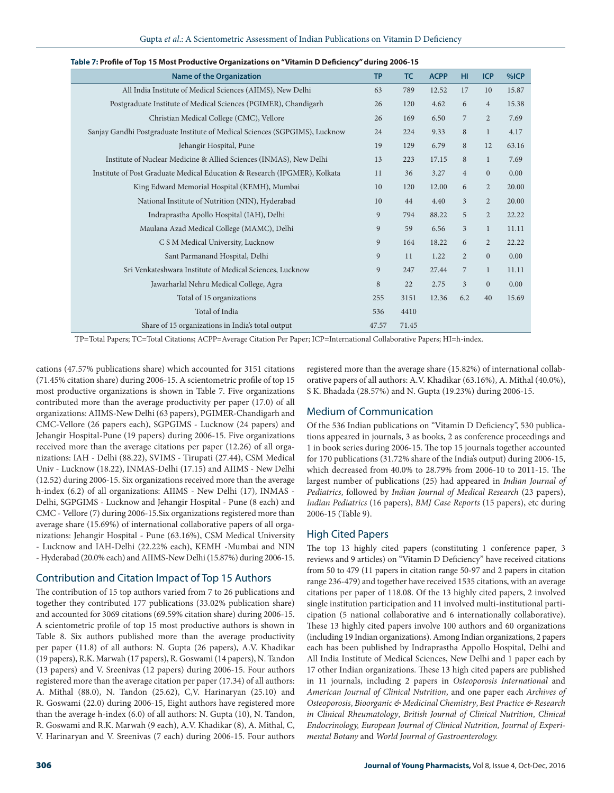| <b>Name of the Organization</b>                                             | <b>TP</b> | <b>TC</b> | <b>ACPP</b> | HI             | <b>ICP</b>     | %ICP  |
|-----------------------------------------------------------------------------|-----------|-----------|-------------|----------------|----------------|-------|
| All India Institute of Medical Sciences (AIIMS), New Delhi                  | 63        | 789       | 12.52       | 17             | 10             | 15.87 |
| Postgraduate Institute of Medical Sciences (PGIMER), Chandigarh             | 26        | 120       | 4.62        | 6              | $\overline{4}$ | 15.38 |
| Christian Medical College (CMC), Vellore                                    | 26        | 169       | 6.50        | $\overline{7}$ | $\overline{2}$ | 7.69  |
| Sanjay Gandhi Postgraduate Institute of Medical Sciences (SGPGIMS), Lucknow | 24        | 224       | 9.33        | $\,8\,$        | $\mathbf{1}$   | 4.17  |
| Jehangir Hospital, Pune                                                     | 19        | 129       | 6.79        | 8              | 12             | 63.16 |
| Institute of Nuclear Medicine & Allied Sciences (INMAS), New Delhi          | 13        | 223       | 17.15       | 8              | $\mathbf{1}$   | 7.69  |
| Institute of Post Graduate Medical Education & Research (IPGMER), Kolkata   | 11        | 36        | 3.27        | $\overline{4}$ | $\overline{0}$ | 0.00  |
| King Edward Memorial Hospital (KEMH), Mumbai                                | 10        | 120       | 12.00       | 6              | $\overline{2}$ | 20.00 |
| National Institute of Nutrition (NIN), Hyderabad                            | 10        | 44        | 4.40        | 3              | $\overline{2}$ | 20.00 |
| Indraprastha Apollo Hospital (IAH), Delhi                                   | 9         | 794       | 88.22       | 5              | $\overline{2}$ | 22.22 |
| Maulana Azad Medical College (MAMC), Delhi                                  | 9         | 59        | 6.56        | $\overline{3}$ | $\mathbf{1}$   | 11.11 |
| C S M Medical University, Lucknow                                           | 9         | 164       | 18.22       | 6              | $\overline{2}$ | 22.22 |
| Sant Parmanand Hospital, Delhi                                              | 9         | 11        | 1.22        | $\overline{2}$ | $\overline{0}$ | 0.00  |
| Sri Venkateshwara Institute of Medical Sciences, Lucknow                    | 9         | 247       | 27.44       | $\overline{7}$ | $\mathbf{1}$   | 11.11 |
| Jawarharlal Nehru Medical College, Agra                                     | 8         | 22        | 2.75        | $\overline{3}$ | $\mathbf{0}$   | 0.00  |
| Total of 15 organizations                                                   | 255       | 3151      | 12.36       | 6.2            | 40             | 15.69 |
| Total of India                                                              | 536       | 4410      |             |                |                |       |
| Share of 15 organizations in India's total output                           | 47.57     | 71.45     |             |                |                |       |

| Table 7: Profile of Top 15 Most Productive Organizations on "Vitamin D Deficiency" during 2006-15 |  |  |
|---------------------------------------------------------------------------------------------------|--|--|
|                                                                                                   |  |  |

TP=Total Papers; TC=Total Citations; ACPP=Average Citation Per Paper; ICP=International Collaborative Papers; HI=h-index.

cations (47.57% publications share) which accounted for 3151 citations (71.45% citation share) during 2006-15. A scientometric profile of top 15 most productive organizations is shown in Table 7. Five organizations contributed more than the average productivity per paper (17.0) of all organizations: AIIMS-New Delhi (63 papers), PGIMER-Chandigarh and CMC-Vellore (26 papers each), SGPGIMS - Lucknow (24 papers) and Jehangir Hospital-Pune (19 papers) during 2006-15. Five organizations received more than the average citations per paper (12.26) of all organizations: IAH - Delhi (88.22), SVIMS - Tirupati (27.44), CSM Medical Univ - Lucknow (18.22), INMAS-Delhi (17.15) and AIIMS - New Delhi (12.52) during 2006-15. Six organizations received more than the average h-index (6.2) of all organizations: AIIMS - New Delhi (17), INMAS - Delhi, SGPGIMS - Lucknow and Jehangir Hospital - Pune (8 each) and CMC - Vellore (7) during 2006-15.Six organizations registered more than average share (15.69%) of international collaborative papers of all organizations: Jehangir Hospital - Pune (63.16%), CSM Medical University - Lucknow and IAH-Delhi (22.22% each), KEMH -Mumbai and NIN - Hyderabad (20.0% each) and AIIMS-New Delhi (15.87%) during 2006-15.

## Contribution and Citation Impact of Top 15 Authors

The contribution of 15 top authors varied from 7 to 26 publications and together they contributed 177 publications (33.02% publication share) and accounted for 3069 citations (69.59% citation share) during 2006-15. A scientometric profile of top 15 most productive authors is shown in Table 8. Six authors published more than the average productivity per paper (11.8) of all authors: N. Gupta (26 papers), A.V. Khadikar (19 papers), R.K. Marwah (17 papers), R. Goswami (14 papers), N. Tandon (13 papers) and V. Sreenivas (12 papers) during 2006-15. Four authors registered more than the average citation per paper (17.34) of all authors: A. Mithal (88.0), N. Tandon (25.62), C,V. Harinaryan (25.10) and R. Goswami (22.0) during 2006-15, Eight authors have registered more than the average h-index (6.0) of all authors: N. Gupta (10), N. Tandon, R. Goswami and R.K. Marwah (9 each), A.V. Khadikar (8), A. Mithal, C, V. Harinaryan and V. Sreenivas (7 each) during 2006-15. Four authors registered more than the average share (15.82%) of international collaborative papers of all authors: A.V. Khadikar (63.16%), A. Mithal (40.0%), S K. Bhadada (28.57%) and N. Gupta (19.23%) during 2006-15.

#### Medium of Communication

Of the 536 Indian publications on "Vitamin D Deficiency", 530 publications appeared in journals, 3 as books, 2 as conference proceedings and 1 in book series during 2006-15. The top 15 journals together accounted for 170 publications (31.72% share of the India's output) during 2006-15, which decreased from 40.0% to 28.79% from 2006-10 to 2011-15. The largest number of publications (25) had appeared in *Indian Journal of Pediatrics*, followed by *Indian Journal of Medical Research* (23 papers), *Indian Pediatrics* (16 papers), *BMJ Case Reports* (15 papers), etc during 2006-15 (Table 9).

### High Cited Papers

The top 13 highly cited papers (constituting 1 conference paper, 3 reviews and 9 articles) on "Vitamin D Deficiency" have received citations from 50 to 479 (11 papers in citation range 50-97 and 2 papers in citation range 236-479) and together have received 1535 citations, with an average citations per paper of 118.08. Of the 13 highly cited papers, 2 involved single institution participation and 11 involved multi-institutional participation (5 national collaborative and 6 internationally collaborative). These 13 highly cited papers involve 100 authors and 60 organizations (including 19 Indian organizations). Among Indian organizations, 2 papers each has been published by Indraprastha Appollo Hospital, Delhi and All India Institute of Medical Sciences, New Delhi and 1 paper each by 17 other Indian organizations. These 13 high cited papers are published in 11 journals, including 2 papers in *Osteoporosis International* and *American Journal of Clinical Nutrition*, and one paper each *Archives of Osteoporosis*, *Bioorganic & Medicinal Chemistry*, *Best Practice & Research in Clinical Rheumatology*, *British Journal of Clinical Nutrition*, *Clinical Endocrinology, European Journal of Clinical Nutrition, Journal of Experimental Botany* and *World Journal of Gastroenterology.*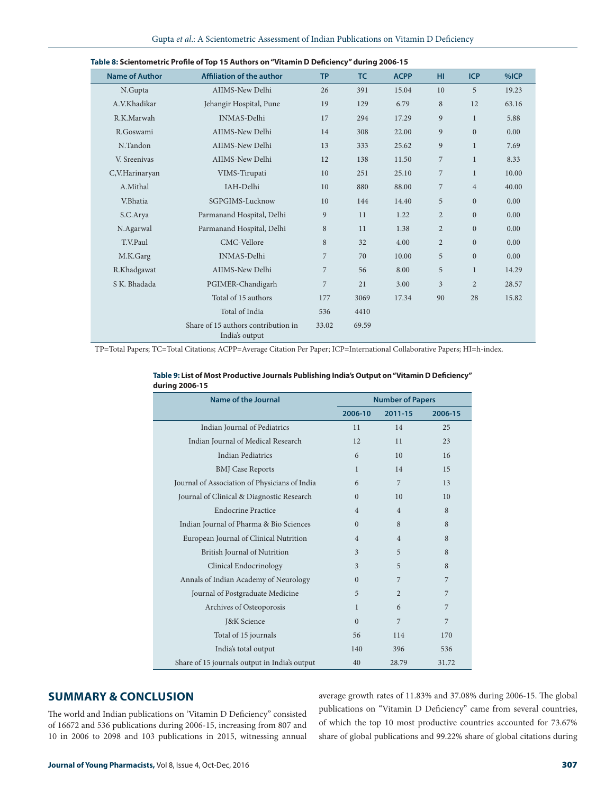| <b>Name of Author</b> | <b>Affiliation of the author</b>                      | <b>TP</b>      | <b>TC</b> | <b>ACPP</b> | HI.            | <b>ICP</b>     | %ICP  |
|-----------------------|-------------------------------------------------------|----------------|-----------|-------------|----------------|----------------|-------|
| N.Gupta               | AIIMS-New Delhi                                       | 26             | 391       | 15.04       | 10             | 5              | 19.23 |
| A.V.Khadikar          | Jehangir Hospital, Pune                               | 19             | 129       | 6.79        | 8              | 12             | 63.16 |
| R.K.Marwah            | <b>INMAS-Delhi</b>                                    | 17             | 294       | 17.29       | 9              | $\mathbf{1}$   | 5.88  |
| R.Goswami             | AIIMS-New Delhi                                       | 14             | 308       | 22.00       | 9              | $\overline{0}$ | 0.00  |
| N.Tandon              | AIIMS-New Delhi                                       | 13             | 333       | 25.62       | 9              | $\mathbf{1}$   | 7.69  |
| V. Sreenivas          | AIIMS-New Delhi                                       | 12             | 138       | 11.50       | 7              | $\mathbf{1}$   | 8.33  |
| C,V.Harinaryan        | VIMS-Tirupati                                         | 10             | 251       | 25.10       | $\overline{7}$ | $\mathbf{1}$   | 10.00 |
| A.Mithal              | IAH-Delhi                                             | 10             | 880       | 88.00       | $\overline{7}$ | $\overline{4}$ | 40.00 |
| V.Bhatia              | SGPGIMS-Lucknow                                       | 10             | 144       | 14.40       | 5              | $\mathbf{0}$   | 0.00  |
| S.C.Arya              | Parmanand Hospital, Delhi                             | 9              | 11        | 1.22        | $\overline{2}$ | $\mathbf{0}$   | 0.00  |
| N.Agarwal             | Parmanand Hospital, Delhi                             | 8              | 11        | 1.38        | $\overline{2}$ | $\mathbf{0}$   | 0.00  |
| T.V.Paul              | CMC-Vellore                                           | 8              | 32        | 4.00        | $\overline{2}$ | $\mathbf{0}$   | 0.00  |
| M.K.Garg              | <b>INMAS-Delhi</b>                                    | 7              | 70        | 10.00       | 5              | $\mathbf{0}$   | 0.00  |
| R.Khadgawat           | AIIMS-New Delhi                                       | 7              | 56        | 8.00        | 5              | $\mathbf{1}$   | 14.29 |
| S K. Bhadada          | PGIMER-Chandigarh                                     | $\overline{7}$ | 21        | 3.00        | $\overline{3}$ | $\overline{2}$ | 28.57 |
|                       | Total of 15 authors                                   | 177            | 3069      | 17.34       | 90             | 28             | 15.82 |
|                       | Total of India                                        | 536            | 4410      |             |                |                |       |
|                       | Share of 15 authors contribution in<br>India's output | 33.02          | 69.59     |             |                |                |       |

| Table 8: Scientometric Profile of Top 15 Authors on "Vitamin D Deficiency" during 2006-15 |  |  |  |
|-------------------------------------------------------------------------------------------|--|--|--|
|-------------------------------------------------------------------------------------------|--|--|--|

TP=Total Papers; TC=Total Citations; ACPP=Average Citation Per Paper; ICP=International Collaborative Papers; HI=h-index.

| Name of the Journal                           | <b>Number of Papers</b>  |                |         |
|-----------------------------------------------|--------------------------|----------------|---------|
|                                               | 2006-10                  | 2011-15        | 2006-15 |
| Indian Journal of Pediatrics                  | 11                       | 14             | 25      |
| Indian Journal of Medical Research            | 12                       | 11             | 23      |
| <b>Indian Pediatrics</b>                      | 6                        | 10             | 16      |
| <b>BMJ</b> Case Reports                       | 1                        | 14             | 15      |
| Journal of Association of Physicians of India | 6                        | 7              | 13      |
| Journal of Clinical & Diagnostic Research     | $\Omega$                 | 10             | 10      |
| <b>Endocrine Practice</b>                     | $\overline{4}$           | $\overline{4}$ | 8       |
| Indian Journal of Pharma & Bio Sciences       | $\Omega$                 | 8              | 8       |
| European Journal of Clinical Nutrition        | $\overline{4}$           | $\overline{4}$ | 8       |
| British Journal of Nutrition                  | $\overline{\mathcal{E}}$ | 5              | 8       |
| Clinical Endocrinology                        | 3                        | 5              | 8       |
| Annals of Indian Academy of Neurology         | $\Omega$                 | 7              | 7       |
| Journal of Postgraduate Medicine              | 5                        | $\overline{2}$ | 7       |
| Archives of Osteoporosis                      | $\mathbf{1}$             | 6              | 7       |
| <b>J&amp;K</b> Science                        | $\Omega$                 | $\overline{7}$ | 7       |
| Total of 15 journals                          | 56                       | 114            | 170     |
| India's total output                          | 140                      | 396            | 536     |
| Share of 15 journals output in India's output | 40                       | 28.79          | 31.72   |

| Table 9: List of Most Productive Journals Publishing India's Output on "Vitamin D Deficiency" |
|-----------------------------------------------------------------------------------------------|
| during 2006-15                                                                                |

## **SUMMARY & CONCLUSION**

The world and Indian publications on 'Vitamin D Deficiency" consisted of 16672 and 536 publications during 2006-15, increasing from 807 and 10 in 2006 to 2098 and 103 publications in 2015, witnessing annual average growth rates of 11.83% and 37.08% during 2006-15. The global publications on "Vitamin D Deficiency" came from several countries, of which the top 10 most productive countries accounted for 73.67% share of global publications and 99.22% share of global citations during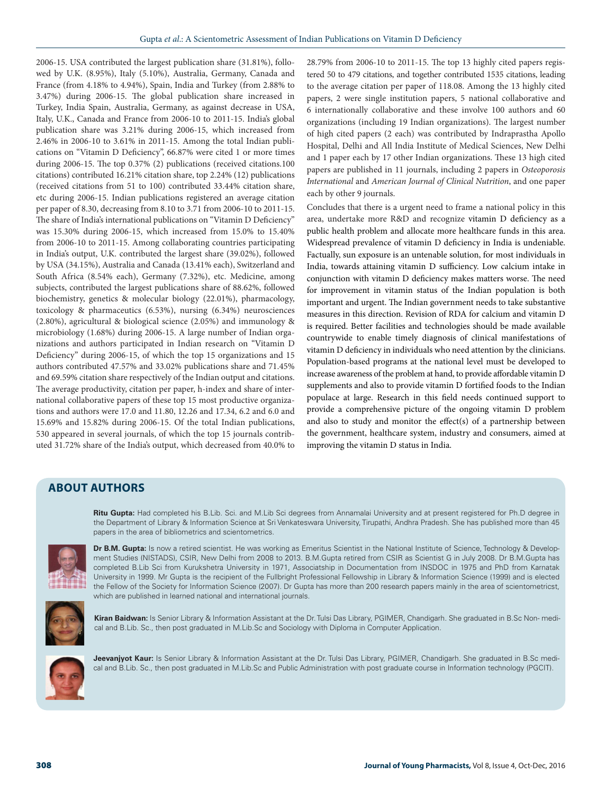2006-15. USA contributed the largest publication share (31.81%), followed by U.K. (8.95%), Italy (5.10%), Australia, Germany, Canada and France (from 4.18% to 4.94%), Spain, India and Turkey (from 2.88% to 3.47%) during 2006-15. The global publication share increased in Turkey, India Spain, Australia, Germany, as against decrease in USA, Italy, U.K., Canada and France from 2006-10 to 2011-15. India's global publication share was 3.21% during 2006-15, which increased from 2.46% in 2006-10 to 3.61% in 2011-15. Among the total Indian publications on "Vitamin D Deficiency", 66.87% were cited 1 or more times during 2006-15. The top 0.37% (2) publications (received citations.100 citations) contributed 16.21% citation share, top 2.24% (12) publications (received citations from 51 to 100) contributed 33.44% citation share, etc during 2006-15. Indian publications registered an average citation per paper of 8.30, decreasing from 8.10 to 3.71 from 2006-10 to 2011-15. The share of India's international publications on "Vitamin D Deficiency" was 15.30% during 2006-15, which increased from 15.0% to 15.40% from 2006-10 to 2011-15. Among collaborating countries participating in India's output, U.K. contributed the largest share (39.02%), followed by USA (34.15%), Australia and Canada (13.41% each), Switzerland and South Africa (8.54% each), Germany (7.32%), etc. Medicine, among subjects, contributed the largest publications share of 88.62%, followed biochemistry, genetics & molecular biology (22.01%), pharmacology, toxicology & pharmaceutics (6.53%), nursing (6.34%) neurosciences (2.80%), agricultural & biological science (2.05%) and immunology & microbiology (1.68%) during 2006-15. A large number of Indian organizations and authors participated in Indian research on "Vitamin D Deficiency" during 2006-15, of which the top 15 organizations and 15 authors contributed 47.57% and 33.02% publications share and 71.45% and 69.59% citation share respectively of the Indian output and citations. The average productivity, citation per paper, h-index and share of international collaborative papers of these top 15 most productive organizations and authors were 17.0 and 11.80, 12.26 and 17.34, 6.2 and 6.0 and 15.69% and 15.82% during 2006-15. Of the total Indian publications, 530 appeared in several journals, of which the top 15 journals contributed 31.72% share of the India's output, which decreased from 40.0% to

28.79% from 2006-10 to 2011-15. The top 13 highly cited papers registered 50 to 479 citations, and together contributed 1535 citations, leading to the average citation per paper of 118.08. Among the 13 highly cited papers, 2 were single institution papers, 5 national collaborative and 6 internationally collaborative and these involve 100 authors and 60 organizations (including 19 Indian organizations). The largest number of high cited papers (2 each) was contributed by Indraprastha Apollo Hospital, Delhi and All India Institute of Medical Sciences, New Delhi and 1 paper each by 17 other Indian organizations. These 13 high cited papers are published in 11 journals, including 2 papers in *Osteoporosis International* and *American Journal of Clinical Nutrition*, and one paper each by other 9 journals.

Concludes that there is a urgent need to frame a national policy in this area, undertake more R&D and recognize vitamin D deficiency as a public health problem and allocate more healthcare funds in this area. Widespread prevalence of vitamin D deficiency in India is undeniable. Factually, sun exposure is an untenable solution, for most individuals in India, towards attaining vitamin D sufficiency. Low calcium intake in conjunction with vitamin D deficiency makes matters worse. The need for improvement in vitamin status of the Indian population is both important and urgent. The Indian government needs to take substantive measures in this direction. Revision of RDA for calcium and vitamin D is required. Better facilities and technologies should be made available countrywide to enable timely diagnosis of clinical manifestations of vitamin D deficiency in individuals who need attention by the clinicians. Population-based programs at the national level must be developed to increase awareness of the problem at hand, to provide affordable vitamin D supplements and also to provide vitamin D fortified foods to the Indian populace at large. Research in this field needs continued support to provide a comprehensive picture of the ongoing vitamin D problem and also to study and monitor the effect(s) of a partnership between the government, healthcare system, industry and consumers, aimed at improving the vitamin D status in India.

## **ABOUT AUTHORS**

**Ritu Gupta:** Had completed his B.Lib. Sci. and M.Lib Sci degrees from Annamalai University and at present registered for Ph.D degree in the Department of Library & Information Science at Sri Venkateswara University, Tirupathi, Andhra Pradesh. She has published more than 45 papers in the area of bibliometrics and scientometrics.



**Dr B.M. Gupta:** Is now a retired scientist. He was working as Emeritus Scientist in the National Institute of Science, Technology & Development Studies (NISTADS), CSIR, New Delhi from 2008 to 2013. B.M.Gupta retired from CSIR as Scientist G in July 2008. Dr B.M.Gupta has completed B.Lib Sci from Kurukshetra University in 1971, Associatship in Documentation from INSDOC in 1975 and PhD from Karnatak University in 1999. Mr Gupta is the recipient of the Fullbright Professional Fellowship in Library & Information Science (1999) and is elected the Fellow of the Society for Information Science (2007). Dr Gupta has more than 200 research papers mainly in the area of scientometricst, which are published in learned national and international journals.



**Kiran Baidwan:** Is Senior Library & Information Assistant at the Dr. Tulsi Das Library, PGIMER, Chandigarh. She graduated in B.Sc Non- medical and B.Lib. Sc., then post graduated in M.Lib.Sc and Sociology with Diploma in Computer Application.



**Jeevanjyot Kaur:** Is Senior Library & Information Assistant at the Dr. Tulsi Das Library, PGIMER, Chandigarh. She graduated in B.Sc medical and B.Lib. Sc., then post graduated in M.Lib.Sc and Public Administration with post graduate course in Information technology (PGCIT).